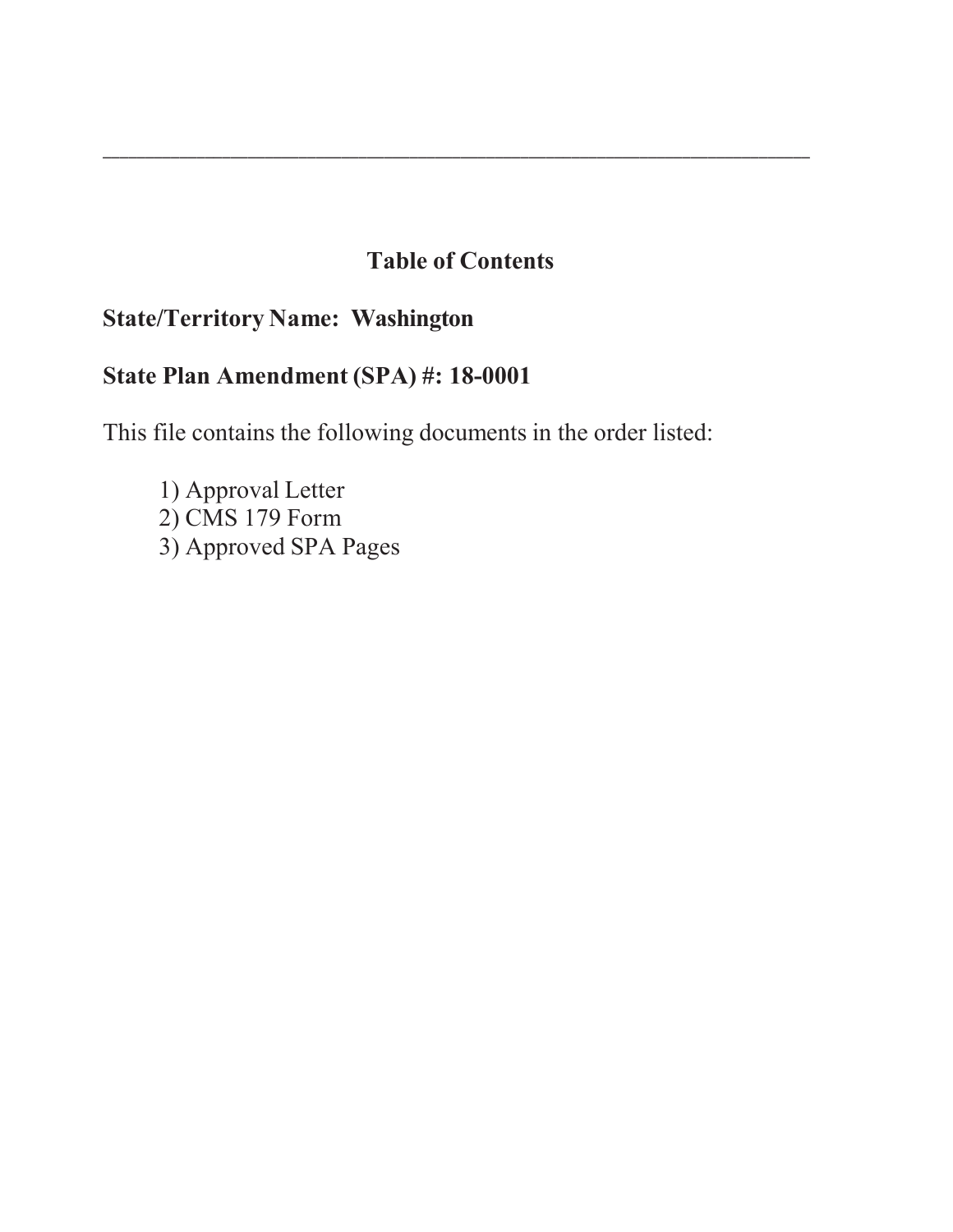# **Table of Contents**

\_\_\_\_\_\_\_\_\_\_\_\_\_\_\_\_\_\_\_\_\_\_\_\_\_\_\_\_\_\_\_\_\_\_\_\_\_\_\_\_\_\_\_\_\_\_\_\_\_\_\_\_\_\_\_\_\_\_\_\_\_\_\_\_\_\_\_\_\_\_\_\_\_\_\_\_\_\_\_\_\_\_\_

# **State/Territory Name: Washington**

# **State Plan Amendment (SPA) #: 18-0001**

This file contains the following documents in the order listed:

1) Approval Letter 2) CMS 179 Form 3) Approved SPA Pages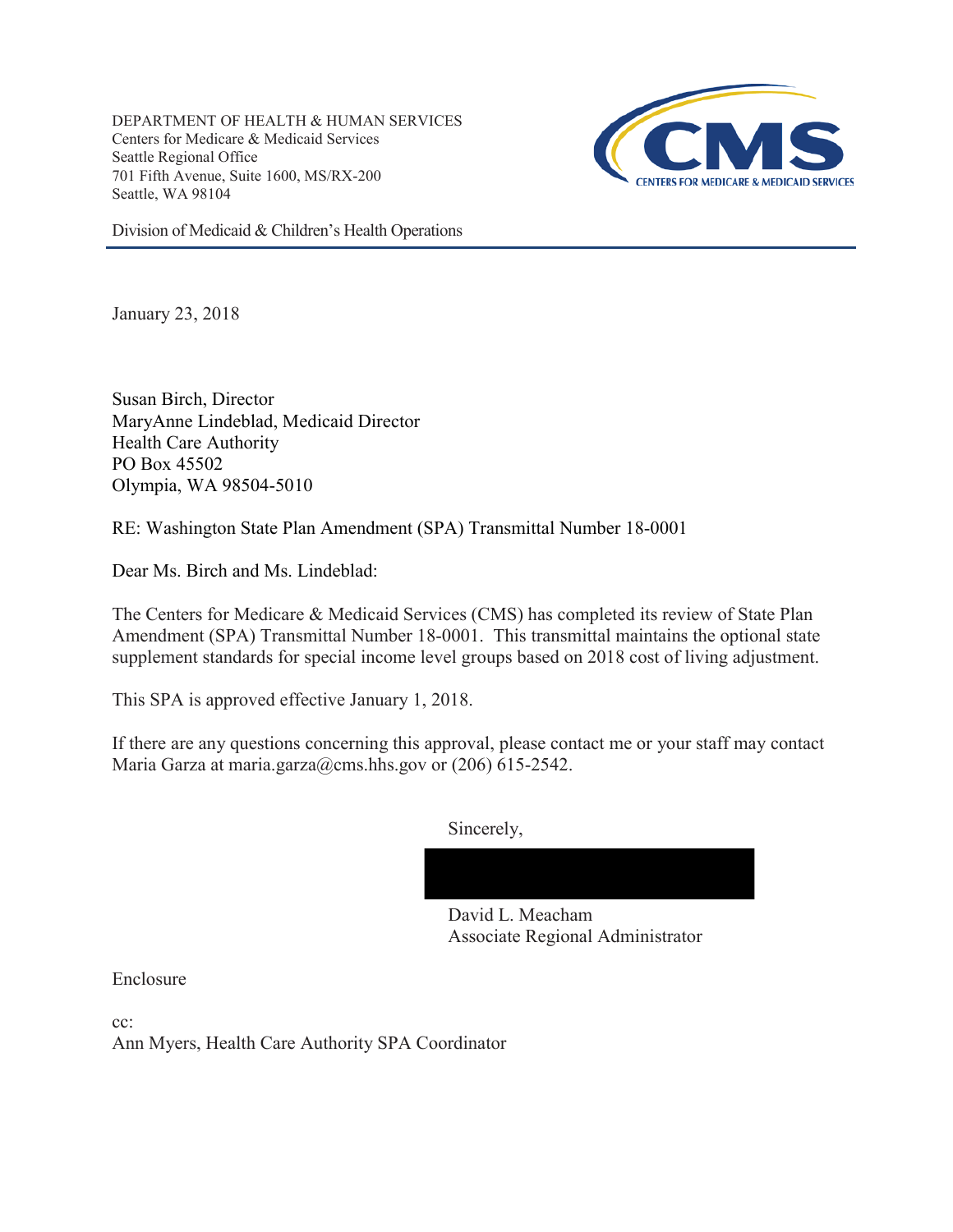DEPARTMENT OF HEALTH & HUMAN SERVICES Centers for Medicare & Medicaid Services Seattle Regional Office 701 Fifth Avenue, Suite 1600, MS/RX-200 Seattle, WA 98104



Division of Medicaid & Children's Health Operations

January 23, 2018

Susan Birch, Director MaryAnne Lindeblad, Medicaid Director Health Care Authority PO Box 45502 Olympia, WA 98504-5010

RE: Washington State Plan Amendment (SPA) Transmittal Number 18-0001

Dear Ms. Birch and Ms. Lindeblad:

The Centers for Medicare & Medicaid Services (CMS) has completed its review of State Plan Amendment (SPA) Transmittal Number 18-0001. This transmittal maintains the optional state supplement standards for special income level groups based on 2018 cost of living adjustment.

This SPA is approved effective January 1, 2018.

If there are any questions concerning this approval, please contact me or your staff may contact Maria Garza at maria.garza@cms.hhs.gov or (206) 615-2542.

Sincerely,



David L. Meacham Associate Regional Administrator

Enclosure

cc:

Ann Myers, Health Care Authority SPA Coordinator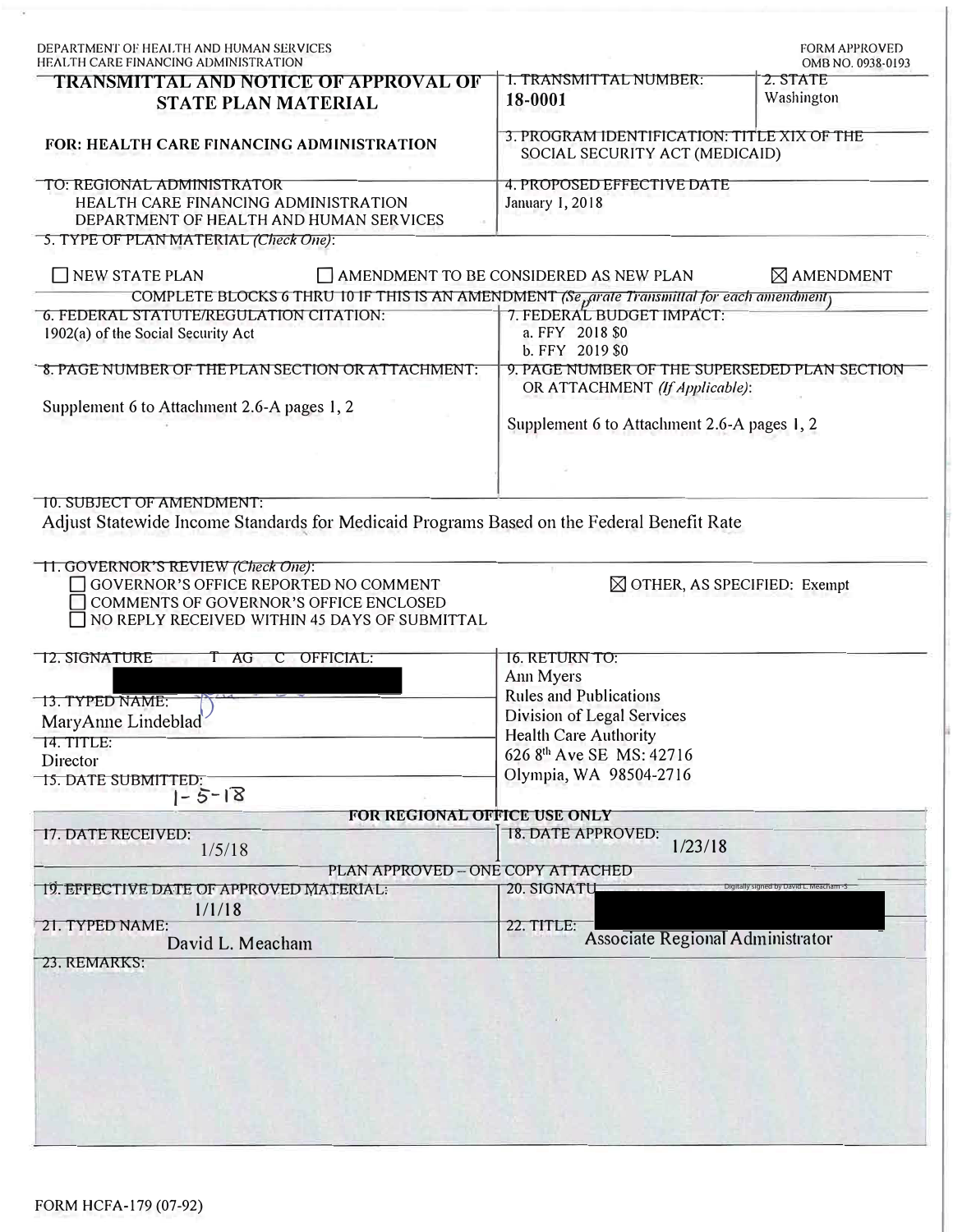| I. TRANSMITTAL NUMBER:                                                                                                         | OMB NO. 0938-0193                                                                                                                                                                                                                                                                                                                  |  |                |
|--------------------------------------------------------------------------------------------------------------------------------|------------------------------------------------------------------------------------------------------------------------------------------------------------------------------------------------------------------------------------------------------------------------------------------------------------------------------------|--|----------------|
|                                                                                                                                | 2. STATE                                                                                                                                                                                                                                                                                                                           |  |                |
| 18-0001                                                                                                                        | Washington                                                                                                                                                                                                                                                                                                                         |  |                |
| 3. PROGRAM IDENTIFICATION: TITLE XIX OF THE<br>SOCIAL SECURITY ACT (MEDICAID)                                                  |                                                                                                                                                                                                                                                                                                                                    |  |                |
| 4. PROPOSED EFFECTIVE DATE<br>January 1, 2018                                                                                  |                                                                                                                                                                                                                                                                                                                                    |  |                |
|                                                                                                                                |                                                                                                                                                                                                                                                                                                                                    |  |                |
| $\Box$ AMENDMENT TO BE CONSIDERED AS NEW PLAN                                                                                  | $\boxtimes$ AMENDMENT                                                                                                                                                                                                                                                                                                              |  |                |
|                                                                                                                                |                                                                                                                                                                                                                                                                                                                                    |  |                |
| a. FFY 2018 \$0<br>b. FFY 2019 \$0                                                                                             |                                                                                                                                                                                                                                                                                                                                    |  |                |
| 9. PAGE NUMBER OF THE SUPERSEDED PLAN SECTION<br>OR ATTACHMENT (If Applicable):<br>Supplement 6 to Attachment 2.6-A pages 1, 2 |                                                                                                                                                                                                                                                                                                                                    |  |                |
|                                                                                                                                |                                                                                                                                                                                                                                                                                                                                    |  | 16. RETURN TO: |
| Ann Myers                                                                                                                      |                                                                                                                                                                                                                                                                                                                                    |  |                |
| <b>Rules and Publications</b>                                                                                                  |                                                                                                                                                                                                                                                                                                                                    |  |                |
| Division of Legal Services                                                                                                     |                                                                                                                                                                                                                                                                                                                                    |  |                |
|                                                                                                                                |                                                                                                                                                                                                                                                                                                                                    |  |                |
|                                                                                                                                |                                                                                                                                                                                                                                                                                                                                    |  |                |
| Olympia, WA 98504-2716                                                                                                         |                                                                                                                                                                                                                                                                                                                                    |  |                |
|                                                                                                                                |                                                                                                                                                                                                                                                                                                                                    |  |                |
|                                                                                                                                |                                                                                                                                                                                                                                                                                                                                    |  |                |
| FOR REGIONAL OFFICE USE ONLY                                                                                                   |                                                                                                                                                                                                                                                                                                                                    |  |                |
| 18. DATE APPROVED:<br>1/23/18                                                                                                  |                                                                                                                                                                                                                                                                                                                                    |  |                |
| PLAN APPROVED - ONE COPY ATTACHED                                                                                              |                                                                                                                                                                                                                                                                                                                                    |  |                |
| 20. SIGNATU                                                                                                                    | Digitally signed by David L. Meac                                                                                                                                                                                                                                                                                                  |  |                |
| 22. TITLE:<br>Associate Regional Administrator                                                                                 |                                                                                                                                                                                                                                                                                                                                    |  |                |
|                                                                                                                                | COMPLETE BLOCKS 6 THRU 10 IF THIS IS AN AMENDMENT (Se <sub>n</sub> arate Transmittal for each amendment)<br>7. FEDERAL BUDGET IMPACT:<br>Adjust Statewide Income Standards for Medicaid Programs Based on the Federal Benefit Rate<br>$\boxtimes$ OTHER, AS SPECIFIED: Exempt<br>Health Care Authority<br>626 8th Ave SE MS: 42716 |  |                |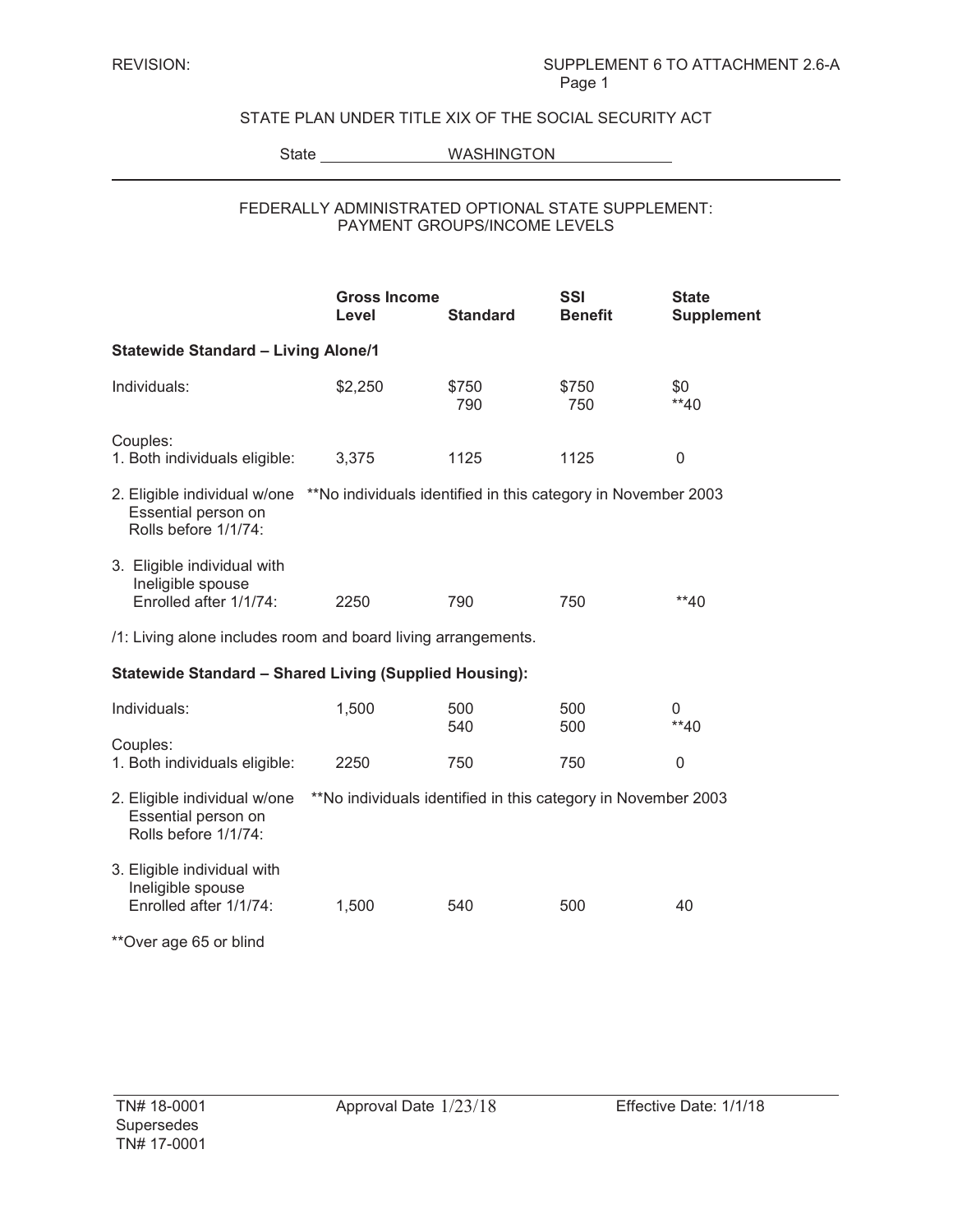## STATE PLAN UNDER TITLE XIX OF THE SOCIAL SECURITY ACT

State WASHINGTON

### FEDERALLY ADMINISTRATED OPTIONAL STATE SUPPLEMENT: PAYMENT GROUPS/INCOME LEVELS

|                                                                                                                                           | <b>Gross Income</b><br>Level                                  | <b>Standard</b> | <b>SSI</b><br><b>Benefit</b> | <b>State</b><br>Supplement |  |  |  |  |
|-------------------------------------------------------------------------------------------------------------------------------------------|---------------------------------------------------------------|-----------------|------------------------------|----------------------------|--|--|--|--|
| <b>Statewide Standard - Living Alone/1</b>                                                                                                |                                                               |                 |                              |                            |  |  |  |  |
| Individuals:                                                                                                                              | \$2,250                                                       | \$750<br>790    | \$750<br>750                 | \$0<br>$**40$              |  |  |  |  |
| Couples:<br>1. Both individuals eligible:                                                                                                 | 3,375                                                         | 1125            | 1125                         | 0                          |  |  |  |  |
| 2. Eligible individual w/one **No individuals identified in this category in November 2003<br>Essential person on<br>Rolls before 1/1/74: |                                                               |                 |                              |                            |  |  |  |  |
| 3. Eligible individual with<br>Ineligible spouse<br>Enrolled after 1/1/74:                                                                | 2250                                                          | 790             | 750                          | $**40$                     |  |  |  |  |
| /1: Living alone includes room and board living arrangements.                                                                             |                                                               |                 |                              |                            |  |  |  |  |
| <b>Statewide Standard - Shared Living (Supplied Housing):</b>                                                                             |                                                               |                 |                              |                            |  |  |  |  |
| Individuals:                                                                                                                              | 1,500                                                         | 500<br>540      | 500<br>500                   | 0<br>$**40$                |  |  |  |  |
| Couples:<br>1. Both individuals eligible:                                                                                                 | 2250                                                          | 750             | 750                          | $\mathbf{0}$               |  |  |  |  |
| 2. Eligible individual w/one<br>Essential person on<br>Rolls before 1/1/74:                                                               | **No individuals identified in this category in November 2003 |                 |                              |                            |  |  |  |  |
| 3. Eligible individual with<br>Ineligible spouse<br>Enrolled after 1/1/74:                                                                | 1,500                                                         | 540             | 500                          | 40                         |  |  |  |  |
| **Over age 65 or blind                                                                                                                    |                                                               |                 |                              |                            |  |  |  |  |